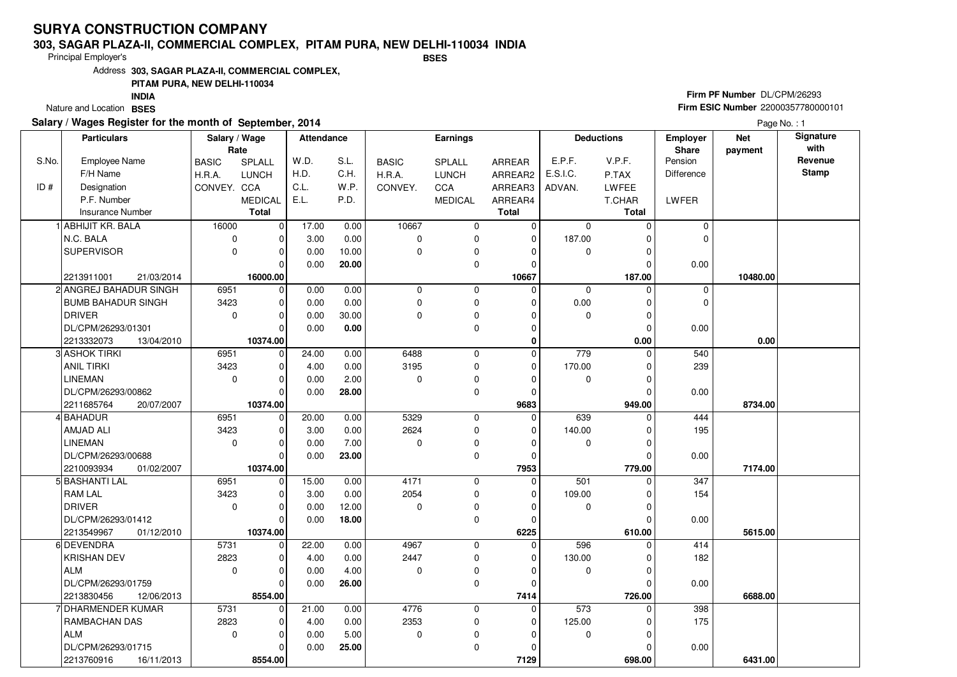#### **303, SAGAR PLAZA-II, COMMERCIAL COMPLEX, PITAM PURA, NEW DELHI-110034 INDIABSES**

Principal Employer's

Address**303, SAGAR PLAZA-II, COMMERCIAL COMPLEX,**

### **PITAM PURA, NEW DELHI-110034**

Nature and Location BSES **INDIA**

### **Salary / Wages Register for the month of September, 2014**

## **Firm PF Number** DL/CPM/26293 **Firm ESIC Number** 22000357780000101

|       | <b>Particulars</b>        | Salary / Wage<br>Rate |                | Attendance |       |              | <b>Earnings</b> |              |             | <b>Deductions</b> | <b>Employer</b><br><b>Share</b> | <b>Net</b><br>payment | Signature<br>with |
|-------|---------------------------|-----------------------|----------------|------------|-------|--------------|-----------------|--------------|-------------|-------------------|---------------------------------|-----------------------|-------------------|
| S.No. | Employee Name             | <b>BASIC</b>          | <b>SPLALL</b>  | W.D.       | S.L.  | <b>BASIC</b> | <b>SPLALL</b>   | ARREAR       | E.P.F.      | V.P.F.            | Pension                         |                       | Revenue           |
|       | F/H Name                  | H.R.A.                | <b>LUNCH</b>   | H.D.       | C.H.  | H.R.A.       | <b>LUNCH</b>    | ARREAR2      | E.S.I.C.    | P.TAX             | <b>Difference</b>               |                       | <b>Stamp</b>      |
| ID#   | Designation               | CONVEY. CCA           |                | C.L.       | W.P.  | CONVEY.      | CCA             | ARREAR3      | ADVAN.      | <b>LWFEE</b>      |                                 |                       |                   |
|       | P.F. Number               |                       | <b>MEDICAL</b> | E.L.       | P.D.  |              | <b>MEDICAL</b>  | ARREAR4      |             | T.CHAR            | <b>LWFER</b>                    |                       |                   |
|       | <b>Insurance Number</b>   |                       | <b>Total</b>   |            |       |              |                 | <b>Total</b> |             | Total             |                                 |                       |                   |
|       | <b>ABHIJIT KR. BALA</b>   | 16000                 | $\mathbf 0$    | 17.00      | 0.00  | 10667        | 0               | $\mathbf 0$  | 0           | $\Omega$          | $\mathbf 0$                     |                       |                   |
|       | N.C. BALA                 | $\mathbf 0$           | $\Omega$       | 3.00       | 0.00  | $\Omega$     | 0               | $\Omega$     | 187.00      | 0                 | $\mathbf 0$                     |                       |                   |
|       | <b>SUPERVISOR</b>         | 0                     | $\mathbf 0$    | 0.00       | 10.00 | 0            | 0               | $\mathbf C$  | 0           | 0                 |                                 |                       |                   |
|       |                           |                       | $\Omega$       | 0.00       | 20.00 |              | 0               | $\Omega$     |             | $\Omega$          | 0.00                            |                       |                   |
|       | 2213911001<br>21/03/2014  |                       | 16000.00       |            |       |              |                 | 10667        |             | 187.00            |                                 | 10480.00              |                   |
|       | 2 ANGREJ BAHADUR SINGH    | 6951                  | 0              | 0.00       | 0.00  | $\mathbf 0$  | 0               | $\Omega$     | 0           | $\Omega$          | $\mathbf 0$                     |                       |                   |
|       | <b>BUMB BAHADUR SINGH</b> | 3423                  | $\mathbf 0$    | 0.00       | 0.00  | 0            | 0               | $\Omega$     | 0.00        | $\Omega$          | $\mathbf 0$                     |                       |                   |
|       | <b>DRIVER</b>             | 0                     | $\Omega$       | 0.00       | 30.00 | $\Omega$     | 0               | O            | $\Omega$    | 0                 |                                 |                       |                   |
|       | DL/CPM/26293/01301        |                       | $\Omega$       | 0.00       | 0.00  |              | 0               | $\Omega$     |             | $\Omega$          | 0.00                            |                       |                   |
|       | 2213332073<br>13/04/2010  |                       | 10374.00       |            |       |              |                 | $\Omega$     |             | 0.00              |                                 | 0.00                  |                   |
|       | 3 ASHOK TIRKI             | 6951                  | $\mathbf 0$    | 24.00      | 0.00  | 6488         | 0               | $\mathbf 0$  | 779         | $\Omega$          | 540                             |                       |                   |
|       | <b>ANIL TIRKI</b>         | 3423                  | $\mathbf 0$    | 4.00       | 0.00  | 3195         | 0               | $\Omega$     | 170.00      | 0                 | 239                             |                       |                   |
|       | <b>LINEMAN</b>            | $\mathbf 0$           | $\Omega$       | 0.00       | 2.00  | $\Omega$     | 0               | C            | 0           | 0                 |                                 |                       |                   |
|       | DL/CPM/26293/00862        |                       | $\Omega$       | 0.00       | 28.00 |              | 0               | $\Omega$     |             | C                 | 0.00                            |                       |                   |
|       | 2211685764<br>20/07/2007  |                       | 10374.00       |            |       |              |                 | 9683         |             | 949.00            |                                 | 8734.00               |                   |
|       | 4 BAHADUR                 | 6951                  | 0              | 20.00      | 0.00  | 5329         | 0               | $\Omega$     | 639         | $\Omega$          | 444                             |                       |                   |
|       | <b>AMJAD ALI</b>          | 3423                  | 0              | 3.00       | 0.00  | 2624         | 0               | $\Omega$     | 140.00      | $\Omega$          | 195                             |                       |                   |
|       | <b>LINEMAN</b>            | 0                     | $\Omega$       | 0.00       | 7.00  | $\Omega$     | 0               | $\Omega$     | $\pmb{0}$   | $\Omega$          |                                 |                       |                   |
|       | DL/CPM/26293/00688        |                       | $\Omega$       | 0.00       | 23.00 |              | 0               | $\Omega$     |             | $\sqrt{ }$        | 0.00                            |                       |                   |
|       | 2210093934<br>01/02/2007  |                       | 10374.00       |            |       |              |                 | 7953         |             | 779.00            |                                 | 7174.00               |                   |
|       | 5 BASHANTI LAL            | 6951                  | $\mathbf 0$    | 15.00      | 0.00  | 4171         | 0               | $\mathbf 0$  | 501         | $\Omega$          | 347                             |                       |                   |
|       | <b>RAM LAL</b>            | 3423                  | $\Omega$       | 3.00       | 0.00  | 2054         | 0               | $\Omega$     | 109.00      | C                 | 154                             |                       |                   |
|       | <b>DRIVER</b>             | 0                     | $\mathbf 0$    | 0.00       | 12.00 | 0            | 0               | $\Omega$     | $\mathbf 0$ | $\Omega$          |                                 |                       |                   |
|       | DL/CPM/26293/01412        |                       | $\Omega$       | 0.00       | 18.00 |              | 0               | $\Omega$     |             | $\Omega$          | 0.00                            |                       |                   |
|       | 2213549967<br>01/12/2010  |                       | 10374.00       |            |       |              |                 | 6225         |             | 610.00            |                                 | 5615.00               |                   |
|       | 6 DEVENDRA                | 5731                  | $\overline{0}$ | 22.00      | 0.00  | 4967         | 0               | $\Omega$     | 596         | $\Omega$          | 414                             |                       |                   |
|       | <b>KRISHAN DEV</b>        | 2823                  | $\Omega$       | 4.00       | 0.00  | 2447         | 0               | $\Omega$     | 130.00      | C                 | 182                             |                       |                   |
|       | <b>ALM</b>                | 0                     | 0              | 0.00       | 4.00  | $\Omega$     | 0               | $\Omega$     | 0           | 0                 |                                 |                       |                   |
|       | DL/CPM/26293/01759        |                       | $\Omega$       | 0.00       | 26.00 |              | 0               | $\Omega$     |             | $\sqrt{ }$        | 0.00                            |                       |                   |
|       | 2213830456<br>12/06/2013  |                       | 8554.00        |            |       |              |                 | 7414         |             | 726.00            |                                 | 6688.00               |                   |
|       | 7 DHARMENDER KUMAR        | 5731                  | $\mathbf 0$    | 21.00      | 0.00  | 4776         | 0               | $\mathbf 0$  | 573         | $\Omega$          | 398                             |                       |                   |
|       | RAMBACHAN DAS             | 2823                  | $\Omega$       | 4.00       | 0.00  | 2353         | 0               | $\Omega$     | 125.00      | C                 | 175                             |                       |                   |
|       | <b>ALM</b>                | $\Omega$              | $\Omega$       | 0.00       | 5.00  | $\Omega$     | 0               | $\sqrt{ }$   | 0           | O                 |                                 |                       |                   |
|       | DL/CPM/26293/01715        |                       | 0              | 0.00       | 25.00 |              | 0               | O            |             |                   | 0.00                            |                       |                   |
|       | 2213760916<br>16/11/2013  |                       | 8554.00        |            |       |              |                 | 7129         |             | 698.00            |                                 | 6431.00               |                   |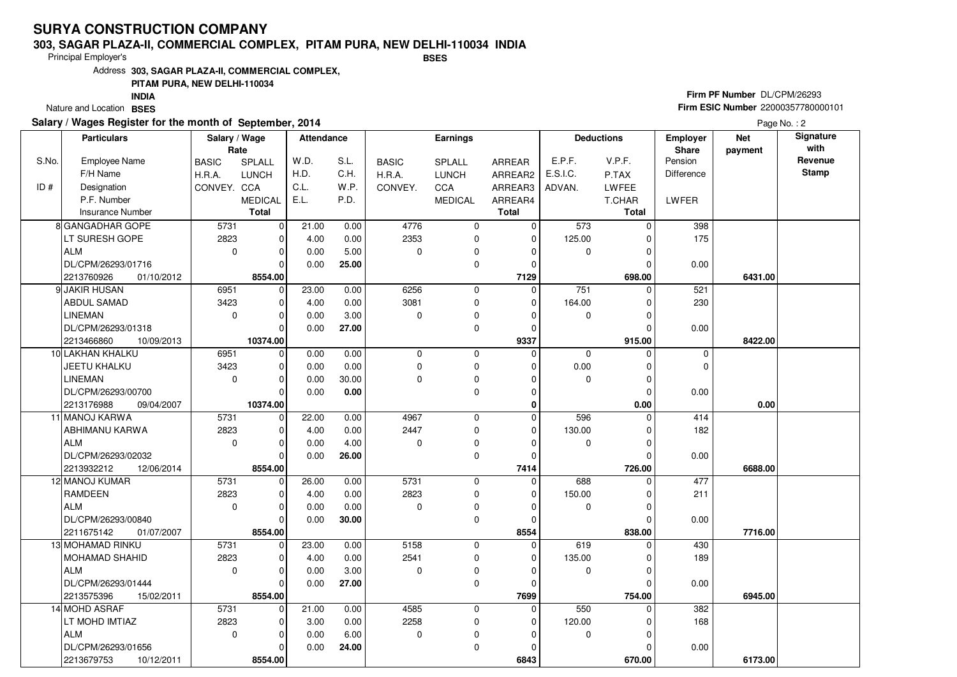#### **303, SAGAR PLAZA-II, COMMERCIAL COMPLEX, PITAM PURA, NEW DELHI-110034 INDIABSES**

Principal Employer's

Address**303, SAGAR PLAZA-II, COMMERCIAL COMPLEX,**

### **PITAM PURA, NEW DELHI-110034**

Nature and Location BSES **INDIA**

### **Salary / Wages Register for the month of September, 2014**

## **Firm PF Number** DL/CPM/26293 **Firm ESIC Number** 22000357780000101

|       | <b>Particulars</b>       | Salary / Wage<br>Rate |                | Attendance |       |              | Earnings       |               |             | <b>Deductions</b> | <b>Employer</b><br>Share | <b>Net</b><br>payment | Signature<br>with |
|-------|--------------------------|-----------------------|----------------|------------|-------|--------------|----------------|---------------|-------------|-------------------|--------------------------|-----------------------|-------------------|
| S.No. | <b>Employee Name</b>     | <b>BASIC</b>          | SPLALL         | W.D.       | S.L.  | <b>BASIC</b> | SPLALL         | <b>ARREAR</b> | E.P.F.      | V.P.F.            | Pension                  |                       | Revenue           |
|       | F/H Name                 | H.R.A.                | <b>LUNCH</b>   | H.D.       | C.H.  | H.R.A.       | LUNCH          | ARREAR2       | E.S.I.C.    | P.TAX             | <b>Difference</b>        |                       | <b>Stamp</b>      |
| ID#   | Designation              | CONVEY. CCA           |                | C.L.       | W.P.  | CONVEY.      | CCA            | ARREAR3       | ADVAN.      | LWFEE             |                          |                       |                   |
|       | P.F. Number              |                       | <b>MEDICAL</b> | E.L.       | P.D.  |              | <b>MEDICAL</b> | ARREAR4       |             | T.CHAR            | LWFER                    |                       |                   |
|       | Insurance Number         |                       | <b>Total</b>   |            |       |              |                | <b>Total</b>  |             | <b>Total</b>      |                          |                       |                   |
|       | 8 GANGADHAR GOPE         | 5731                  | $\mathbf 0$    | 21.00      | 0.00  | 4776         | 0              | 0             | 573         | $\Omega$          | 398                      |                       |                   |
|       | LT SURESH GOPE           | 2823                  | $\mathbf 0$    | 4.00       | 0.00  | 2353         | 0              | $\mathbf 0$   | 125.00      | $\Omega$          | 175                      |                       |                   |
|       | <b>ALM</b>               | $\mathbf 0$           | $\pmb{0}$      | 0.00       | 5.00  | 0            | 0              | $\mathbf 0$   | $\mathbf 0$ | $\Omega$          |                          |                       |                   |
|       | DL/CPM/26293/01716       |                       | $\Omega$       | 0.00       | 25.00 |              | 0              | $\mathbf 0$   |             | $\Omega$          | 0.00                     |                       |                   |
|       | 2213760926<br>01/10/2012 |                       | 8554.00        |            |       |              |                | 7129          |             | 698.00            |                          | 6431.00               |                   |
|       | 9 JAKIR HUSAN            | 6951                  | $\mathbf 0$    | 23.00      | 0.00  | 6256         | 0              | $\mathbf 0$   | 751         | $\Omega$          | 521                      |                       |                   |
|       | <b>ABDUL SAMAD</b>       | 3423                  | $\mathbf 0$    | 4.00       | 0.00  | 3081         | 0              | $\mathbf 0$   | 164.00      | O                 | 230                      |                       |                   |
|       | <b>LINEMAN</b>           | $\mathbf 0$           | $\mathbf 0$    | 0.00       | 3.00  | 0            | 0              | $\Omega$      | $\mathbf 0$ | $\Omega$          |                          |                       |                   |
|       | DL/CPM/26293/01318       |                       | $\Omega$       | 0.00       | 27.00 |              | 0              | $\mathbf 0$   |             | $\Omega$          | 0.00                     |                       |                   |
|       | 2213466860<br>10/09/2013 |                       | 10374.00       |            |       |              |                | 9337          |             | 915.00            |                          | 8422.00               |                   |
|       | 10 LAKHAN KHALKU         | 6951                  | $\mathbf 0$    | 0.00       | 0.00  | $\mathbf 0$  | 0              | $\mathbf 0$   | $\mathbf 0$ |                   | $\mathbf 0$              |                       |                   |
|       | JEETU KHALKU             | 3423                  | $\mathbf 0$    | 0.00       | 0.00  | 0            | 0              | 0             | 0.00        | 0                 | 0                        |                       |                   |
|       | <b>LINEMAN</b>           | $\mathbf 0$           | $\mathbf 0$    | 0.00       | 30.00 | 0            | 0              | $\mathbf 0$   | $\mathbf 0$ | $\Omega$          |                          |                       |                   |
|       | DL/CPM/26293/00700       |                       | $\Omega$       | 0.00       | 0.00  |              | 0              | $\mathbf 0$   |             | $\Omega$          | 0.00                     |                       |                   |
|       | 2213176988<br>09/04/2007 |                       | 10374.00       |            |       |              |                | $\bf{0}$      |             | 0.00              |                          | 0.00                  |                   |
|       | 11 MANOJ KARWA           | 5731                  | 0              | 22.00      | 0.00  | 4967         | 0              | $\mathbf 0$   | 596         | $\Omega$          | 414                      |                       |                   |
|       | <b>ABHIMANU KARWA</b>    | 2823                  | $\mathbf 0$    | 4.00       | 0.00  | 2447         | $\mathbf 0$    | $\mathbf 0$   | 130.00      | $\Omega$          | 182                      |                       |                   |
|       | ALM                      | $\mathbf 0$           | $\mathbf 0$    | 0.00       | 4.00  | 0            | 0              | $\Omega$      | $\pmb{0}$   | 0                 |                          |                       |                   |
|       | DL/CPM/26293/02032       |                       | $\overline{0}$ | 0.00       | 26.00 |              | 0              | $\mathbf 0$   |             | $\Omega$          | 0.00                     |                       |                   |
|       | 2213932212<br>12/06/2014 |                       | 8554.00        |            |       |              |                | 7414          |             | 726.00            |                          | 6688.00               |                   |
|       | 12 MANOJ KUMAR           | 5731                  | $\mathbf 0$    | 26.00      | 0.00  | 5731         | 0              | $\mathbf 0$   | 688         | $\Omega$          | 477                      |                       |                   |
|       | <b>RAMDEEN</b>           | 2823                  | $\mathbf 0$    | 4.00       | 0.00  | 2823         | 0              | $\mathbf 0$   | 150.00      | 0                 | 211                      |                       |                   |
|       | ALM                      | $\Omega$              | $\mathbf 0$    | 0.00       | 0.00  | $\Omega$     | 0              | $\Omega$      | $\mathbf 0$ | $\Omega$          |                          |                       |                   |
|       | DL/CPM/26293/00840       |                       | $\mathbf 0$    | 0.00       | 30.00 |              | 0              | $\mathbf 0$   |             | $\mathcal{C}$     | 0.00                     |                       |                   |
|       | 2211675142<br>01/07/2007 |                       | 8554.00        |            |       |              |                | 8554          |             | 838.00            |                          | 7716.00               |                   |
|       | 13 MOHAMAD RINKU         | 5731                  | $\pmb{0}$      | 23.00      | 0.00  | 5158         | $\mathbf 0$    | $\mathbf 0$   | 619         | $\Omega$          | 430                      |                       |                   |
|       | <b>MOHAMAD SHAHID</b>    | 2823                  | $\mathbf 0$    | 4.00       | 0.00  | 2541         | 0              | $\mathbf 0$   | 135.00      | 0                 | 189                      |                       |                   |
|       | <b>ALM</b>               | $\mathbf 0$           | $\mathbf 0$    | 0.00       | 3.00  | 0            | 0              | $\mathbf 0$   | 0           | $\Omega$          |                          |                       |                   |
|       | DL/CPM/26293/01444       |                       | $\overline{0}$ | 0.00       | 27.00 |              | 0              | $\mathbf 0$   |             | $\Omega$          | 0.00                     |                       |                   |
|       | 2213575396<br>15/02/2011 |                       | 8554.00        |            |       |              |                | 7699          |             | 754.00            |                          | 6945.00               |                   |
|       | 14 MOHD ASRAF            | 5731                  | $\mathbf 0$    | 21.00      | 0.00  | 4585         | 0              | 0             | 550         | $\Omega$          | 382                      |                       |                   |
|       | LT MOHD IMTIAZ           | 2823                  | 0              | 3.00       | 0.00  | 2258         | 0              | $\Omega$      | 120.00      | C                 | 168                      |                       |                   |
|       | ALM                      | $\mathbf 0$           | $\mathbf 0$    | 0.00       | 6.00  | 0            | 0              | $\mathbf 0$   | 0           | $\Omega$          |                          |                       |                   |
|       | DL/CPM/26293/01656       |                       | $\mathbf 0$    | 0.00       | 24.00 |              | $\mathbf 0$    | 0             |             |                   | 0.00                     |                       |                   |
|       | 2213679753<br>10/12/2011 |                       | 8554.00        |            |       |              |                | 6843          |             | 670.00            |                          | 6173.00               |                   |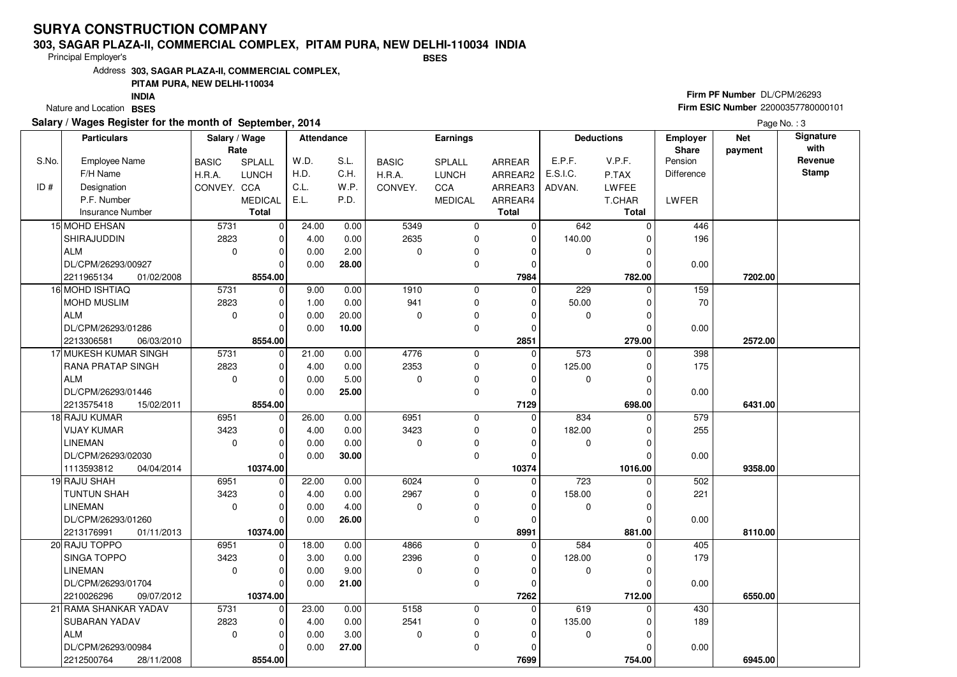#### **303, SAGAR PLAZA-II, COMMERCIAL COMPLEX, PITAM PURA, NEW DELHI-110034 INDIABSES**

Principal Employer's

Address**303, SAGAR PLAZA-II, COMMERCIAL COMPLEX,**

### **PITAM PURA, NEW DELHI-110034**

Nature and Location BSES **INDIA**

### **Salary / Wages Register for the month of September, 2014**

## **Firm PF Number** DL/CPM/26293 **Firm ESIC Number** 22000357780000101

|       | <b>Particulars</b>       | Salary / Wage<br>Rate |                | Attendance |       |              | <b>Earnings</b> |              |                  | <b>Deductions</b> | <b>Employer</b><br><b>Share</b> | <b>Net</b><br>payment | Signature<br>with |
|-------|--------------------------|-----------------------|----------------|------------|-------|--------------|-----------------|--------------|------------------|-------------------|---------------------------------|-----------------------|-------------------|
| S.No. | <b>Employee Name</b>     | <b>BASIC</b>          | <b>SPLALL</b>  | W.D.       | S.L.  | <b>BASIC</b> | <b>SPLALL</b>   | ARREAR       | E.P.F.           | V.P.F.            | Pension                         |                       | Revenue           |
|       | F/H Name                 | H.R.A.                | <b>LUNCH</b>   | H.D.       | C.H.  | H.R.A.       | <b>LUNCH</b>    | ARREAR2      | E.S.I.C.         | P.TAX             | Difference                      |                       | <b>Stamp</b>      |
| ID#   | Designation              | CONVEY. CCA           |                | C.L.       | W.P.  | CONVEY.      | CCA             | ARREAR3      | ADVAN.           | LWFEE             |                                 |                       |                   |
|       | P.F. Number              |                       | <b>MEDICAL</b> | E.L.       | P.D.  |              | <b>MEDICAL</b>  | ARREAR4      |                  | T.CHAR            | LWFER                           |                       |                   |
|       | <b>Insurance Number</b>  |                       | <b>Total</b>   |            |       |              |                 | <b>Total</b> |                  | Total             |                                 |                       |                   |
|       | 15 MOHD EHSAN            | 5731                  | $\overline{0}$ | 24.00      | 0.00  | 5349         | 0               | 0            | 642              | U                 | 446                             |                       |                   |
|       | SHIRAJUDDIN              | 2823                  | 0              | 4.00       | 0.00  | 2635         | 0               | $\mathbf 0$  | 140.00           | O                 | 196                             |                       |                   |
|       | <b>ALM</b>               | $\mathbf 0$           | 0              | 0.00       | 2.00  | 0            | 0               | 0            | $\mathbf 0$      | O                 |                                 |                       |                   |
|       | DL/CPM/26293/00927       |                       | $\Omega$       | 0.00       | 28.00 |              | 0               | $\Omega$     |                  | O                 | 0.00                            |                       |                   |
|       | 2211965134<br>01/02/2008 |                       | 8554.00        |            |       |              |                 | 7984         |                  | 782.00            |                                 | 7202.00               |                   |
|       | 16 MOHD ISHTIAQ          | 5731                  | $\Omega$       | 9.00       | 0.00  | 1910         | 0               | $\Omega$     | 229              | $\Omega$          | 159                             |                       |                   |
|       | MOHD MUSLIM              | 2823                  | 0              | 1.00       | 0.00  | 941          | 0               | 0            | 50.00            | O                 | 70                              |                       |                   |
|       | <b>ALM</b>               | $\mathbf 0$           | 0              | 0.00       | 20.00 | $\Omega$     | 0               | $\Omega$     | $\mathbf 0$      | 0                 |                                 |                       |                   |
|       | DL/CPM/26293/01286       |                       | $\Omega$       | 0.00       | 10.00 |              | 0               | $\Omega$     |                  | $\Omega$          | 0.00                            |                       |                   |
|       | 2213306581<br>06/03/2010 |                       | 8554.00        |            |       |              |                 | 2851         |                  | 279.00            |                                 | 2572.00               |                   |
|       | 17 MUKESH KUMAR SINGH    | 5731                  | $\mathbf 0$    | 21.00      | 0.00  | 4776         | 0               | $\mathbf 0$  | 573              | O                 | 398                             |                       |                   |
|       | RANA PRATAP SINGH        | 2823                  | 0              | 4.00       | 0.00  | 2353         | 0               | $\Omega$     | 125.00           | 0                 | 175                             |                       |                   |
|       | <b>ALM</b>               | $\mathbf 0$           | $\Omega$       | 0.00       | 5.00  | $\Omega$     | 0               | $\Omega$     | $\mathbf 0$      | O                 |                                 |                       |                   |
|       | DL/CPM/26293/01446       |                       | $\Omega$       | 0.00       | 25.00 |              | 0               | $\Omega$     |                  | 0                 | 0.00                            |                       |                   |
|       | 15/02/2011<br>2213575418 |                       | 8554.00        |            |       |              |                 | 7129         |                  | 698.00            |                                 | 6431.00               |                   |
|       | 18 RAJU KUMAR            | 6951                  | 0              | 26.00      | 0.00  | 6951         | 0               | $\Omega$     | 834              | $\Omega$          | 579                             |                       |                   |
|       | <b>VIJAY KUMAR</b>       | 3423                  | $\mathbf 0$    | 4.00       | 0.00  | 3423         | 0               | $\Omega$     | 182.00           |                   | 255                             |                       |                   |
|       | <b>LINEMAN</b>           | 0                     | $\Omega$       | 0.00       | 0.00  | 0            | 0               | $\Omega$     | 0                |                   |                                 |                       |                   |
|       | DL/CPM/26293/02030       |                       | $\Omega$       | 0.00       | 30.00 |              | 0               | $\Omega$     |                  | O                 | 0.00                            |                       |                   |
|       | 1113593812<br>04/04/2014 |                       | 10374.00       |            |       |              |                 | 10374        |                  | 1016.00           |                                 | 9358.00               |                   |
|       | 19 RAJU SHAH             | 6951                  | $\overline{0}$ | 22.00      | 0.00  | 6024         | 0               | $\mathbf 0$  | $\overline{723}$ | O                 | 502                             |                       |                   |
|       | <b>TUNTUN SHAH</b>       | 3423                  | $\Omega$       | 4.00       | 0.00  | 2967         | 0               | $\Omega$     | 158.00           | 0                 | 221                             |                       |                   |
|       | <b>LINEMAN</b>           | $\mathbf 0$           | 0              | 0.00       | 4.00  | $\Omega$     | 0               | $\Omega$     | 0                | O                 |                                 |                       |                   |
|       | DL/CPM/26293/01260       |                       | $\Omega$       | 0.00       | 26.00 |              | 0               | $\Omega$     |                  |                   | 0.00                            |                       |                   |
|       | 2213176991<br>01/11/2013 |                       | 10374.00       |            |       |              |                 | 8991         |                  | 881.00            |                                 | 8110.00               |                   |
|       | 20 RAJU TOPPO            | 6951                  | 0              | 18.00      | 0.00  | 4866         | 0               | $\Omega$     | 584              | $\Omega$          | 405                             |                       |                   |
|       | <b>SINGA TOPPO</b>       | 3423                  | 0              | 3.00       | 0.00  | 2396         | 0               | $\Omega$     | 128.00           | C                 | 179                             |                       |                   |
|       | <b>LINEMAN</b>           | $\mathbf 0$           | $\Omega$       | 0.00       | 9.00  | $\Omega$     | 0               | $\Omega$     | 0                | O                 |                                 |                       |                   |
|       | DL/CPM/26293/01704       |                       | $\Omega$       | 0.00       | 21.00 |              | $\Omega$        | $\Omega$     |                  | O                 | 0.00                            |                       |                   |
|       | 2210026296<br>09/07/2012 |                       | 10374.00       |            |       |              |                 | 7262         |                  | 712.00            |                                 | 6550.00               |                   |
|       | 21 RAMA SHANKAR YADAV    | 5731                  | $\overline{0}$ | 23.00      | 0.00  | 5158         | 0               | $\mathbf 0$  | 619              | $\Omega$          | 430                             |                       |                   |
|       | <b>SUBARAN YADAV</b>     | 2823                  | $\Omega$       | 4.00       | 0.00  | 2541         | 0               | $\Omega$     | 135.00           | ŋ                 | 189                             |                       |                   |
|       | <b>ALM</b>               | $\mathbf 0$           | 0              | 0.00       | 3.00  | 0            | 0               | $\Omega$     | 0                |                   |                                 |                       |                   |
|       | DL/CPM/26293/00984       |                       | $\Omega$       | 0.00       | 27.00 |              | 0               | $\Omega$     |                  |                   | 0.00                            |                       |                   |
|       | 2212500764<br>28/11/2008 |                       | 8554.00        |            |       |              |                 | 7699         |                  | 754.00            |                                 | 6945.00               |                   |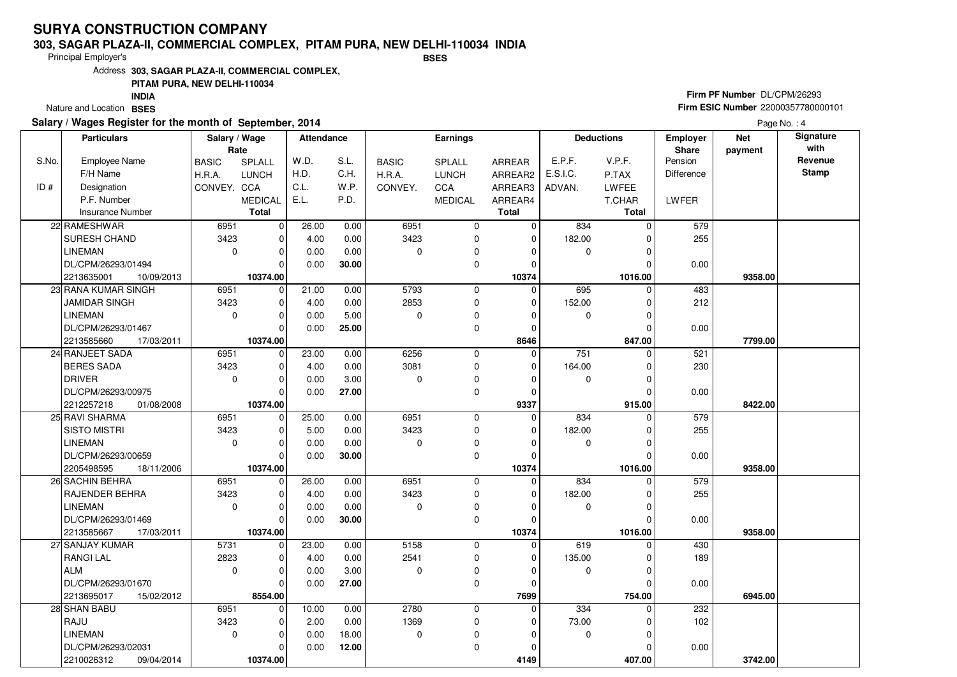#### **303, SAGAR PLAZA-II, COMMERCIAL COMPLEX, PITAM PURA, NEW DELHI-110034 INDIABSES**

Principal Employer's

Address**303, SAGAR PLAZA-II, COMMERCIAL COMPLEX,**

### **PITAM PURA, NEW DELHI-110034**

Nature and Location BSES **INDIA**

### **Salary / Wages Register for the month of September, 2014**

## **Firm PF Number** DL/CPM/26293 **Firm ESIC Number** 22000357780000101

|       | <b>Particulars</b>       | Salary / Wage<br>Rate |                | Attendance        |       |              | <b>Earnings</b> |              |             | <b>Deductions</b> | Employer<br>Share |         | Signature<br>with |
|-------|--------------------------|-----------------------|----------------|-------------------|-------|--------------|-----------------|--------------|-------------|-------------------|-------------------|---------|-------------------|
| S.No. | <b>Employee Name</b>     | <b>BASIC</b>          | SPLALL         | W.D.              | S.L.  | <b>BASIC</b> | SPLALL          | ARREAR       | E.P.F.      | V.P.F.            | Pension           | payment | Revenue           |
|       | F/H Name                 | H.R.A.                | <b>LUNCH</b>   | H.D.              | C.H.  | H.R.A.       | <b>LUNCH</b>    | ARREAR2      | E.S.I.C.    | P.TAX             | Difference        |         | <b>Stamp</b>      |
| ID#   | Designation              | CONVEY. CCA           |                | C.L.              | W.P.  | CONVEY.      | <b>CCA</b>      | ARREAR3      | ADVAN.      | <b>LWFEE</b>      |                   |         |                   |
|       | P.F. Number              |                       | <b>MEDICAL</b> | E.L.              | P.D.  |              | <b>MEDICAL</b>  | ARREAR4      |             | T.CHAR            | LWFER             |         |                   |
|       | <b>Insurance Number</b>  |                       | <b>Total</b>   |                   |       |              |                 | <b>Total</b> |             | <b>Total</b>      |                   |         |                   |
|       | 22 RAMESHWAR             | 6951                  | 0              | 26.00             | 0.00  | 6951         | 0               | $\mathbf 0$  | 834         | $\Omega$          | 579               |         |                   |
|       | SURESH CHAND             | 3423                  | 0              | 4.00              | 0.00  | 3423         | 0               | $\mathbf 0$  | 182.00      |                   | 255               |         |                   |
|       | <b>LINEMAN</b>           | 0                     | $\Omega$       | 0.00              | 0.00  | $\Omega$     | 0               | $\Omega$     | 0           |                   |                   |         |                   |
|       | DL/CPM/26293/01494       |                       | $\Omega$       | 0.00              | 30.00 |              | 0               | $\Omega$     |             |                   | 0.00              |         |                   |
|       | 2213635001<br>10/09/2013 |                       | 10374.00       |                   |       |              |                 | 10374        |             | 1016.00           |                   | 9358.00 |                   |
|       | 23 RANA KUMAR SINGH      | 6951                  | 0              | $\frac{1}{21.00}$ | 0.00  | 5793         | 0               | $\Omega$     | 695         | $\Omega$          | 483               |         |                   |
|       | <b>JAMIDAR SINGH</b>     | 3423                  | $\Omega$       | 4.00              | 0.00  | 2853         | 0               | $\Omega$     | 152.00      | 0                 | 212               |         |                   |
|       | <b>LINEMAN</b>           | 0                     | $\Omega$       | 0.00              | 5.00  | $\Omega$     | 0               | $\Omega$     | 0           |                   |                   |         |                   |
|       | DL/CPM/26293/01467       |                       | $\Omega$       | 0.00              | 25.00 |              | 0               | $\Omega$     |             |                   | 0.00              |         |                   |
|       | 2213585660<br>17/03/2011 |                       | 10374.00       |                   |       |              |                 | 8646         |             | 847.00            |                   | 7799.00 |                   |
|       | 24 RANJEET SADA          | 6951                  | 0              | 23.00             | 0.00  | 6256         | 0               | $\Omega$     | 751         | O                 | 521               |         |                   |
|       | <b>BERES SADA</b>        | 3423                  | $\Omega$       | 4.00              | 0.00  | 3081         | 0               | $\Omega$     | 164.00      |                   | 230               |         |                   |
|       | <b>DRIVER</b>            | 0                     | $\Omega$       | 0.00              | 3.00  | $\Omega$     | 0               | $\Omega$     | $\mathbf 0$ | $\Omega$          |                   |         |                   |
|       | DL/CPM/26293/00975       |                       | $\Omega$       | 0.00              | 27.00 |              | 0               | $\Omega$     |             |                   | 0.00              |         |                   |
|       | 2212257218<br>01/08/2008 |                       | 10374.00       |                   |       |              |                 | 9337         |             | 915.00            |                   | 8422.00 |                   |
|       | 25 RAVI SHARMA           | 6951                  | $\overline{0}$ | 25.00             | 0.00  | 6951         | 0               | $\Omega$     | 834         | $\Omega$          | 579               |         |                   |
|       | <b>SISTO MISTRI</b>      | 3423                  | $\Omega$       | 5.00              | 0.00  | 3423         | 0               | $\Omega$     | 182.00      |                   | 255               |         |                   |
|       | <b>LINEMAN</b>           | 0                     | $\Omega$       | 0.00              | 0.00  | $\Omega$     | 0               | $\Omega$     | 0           |                   |                   |         |                   |
|       | DL/CPM/26293/00659       |                       | $\Omega$       | 0.00              | 30.00 |              | 0               | $\Omega$     |             |                   | 0.00              |         |                   |
|       | 2205498595<br>18/11/2006 |                       | 10374.00       |                   |       |              |                 | 10374        |             | 1016.00           |                   | 9358.00 |                   |
|       | 26 SACHIN BEHRA          | 6951                  | $\Omega$       | 26.00             | 0.00  | 6951         | $\Omega$        | 0            | 834         |                   | 579               |         |                   |
|       | RAJENDER BEHRA           | 3423                  | $\Omega$       | 4.00              | 0.00  | 3423         | 0               | $\Omega$     | 182.00      |                   | 255               |         |                   |
|       | <b>LINEMAN</b>           | $\Omega$              | $\Omega$       | 0.00              | 0.00  | $\Omega$     | 0               | $\Omega$     | $\mathbf 0$ | $\Omega$          |                   |         |                   |
|       | DL/CPM/26293/01469       |                       | $\Omega$       | 0.00              | 30.00 |              | 0               | O            |             |                   | 0.00              |         |                   |
|       | 2213585667<br>17/03/2011 |                       | 10374.00       |                   |       |              |                 | 10374        |             | 1016.00           |                   | 9358.00 |                   |
|       | 27 SANJAY KUMAR          | 5731                  | $\Omega$       | 23.00             | 0.00  | 5158         | 0               | $\Omega$     | 619         | ŋ                 | 430               |         |                   |
|       | <b>RANGILAL</b>          | 2823                  | $\mathbf 0$    | 4.00              | 0.00  | 2541         | 0               | $\Omega$     | 135.00      | O                 | 189               |         |                   |
|       | <b>ALM</b>               | $\mathbf 0$           | $\Omega$       | 0.00              | 3.00  | $\Omega$     | 0               | $\Omega$     | 0           |                   |                   |         |                   |
|       | DL/CPM/26293/01670       |                       | $\Omega$       | 0.00              | 27.00 |              | 0               | $\Omega$     |             | ŋ                 | 0.00              |         |                   |
|       | 2213695017<br>15/02/2012 |                       | 8554.00        |                   |       |              |                 | 7699         |             | 754.00            |                   | 6945.00 |                   |
|       | 28 SHAN BABU             | 6951                  | $\Omega$       | 10.00             | 0.00  | 2780         | 0               | $\Omega$     | 334         |                   | 232               |         |                   |
|       | RAJU                     | 3423                  | 0              | 2.00              | 0.00  | 1369         | 0               | $\Omega$     | 73.00       |                   | 102               |         |                   |
|       | <b>LINEMAN</b>           | $\mathbf 0$           | $\Omega$       | 0.00              | 18.00 | 0            | 0               | O            | $\mathbf 0$ |                   |                   |         |                   |
|       | DL/CPM/26293/02031       |                       | 0              | 0.00              | 12.00 |              | 0               | 0            |             |                   | 0.00              |         |                   |
|       | 2210026312<br>09/04/2014 |                       | 10374.00       |                   |       |              |                 | 4149         |             | 407.00            |                   | 3742.00 |                   |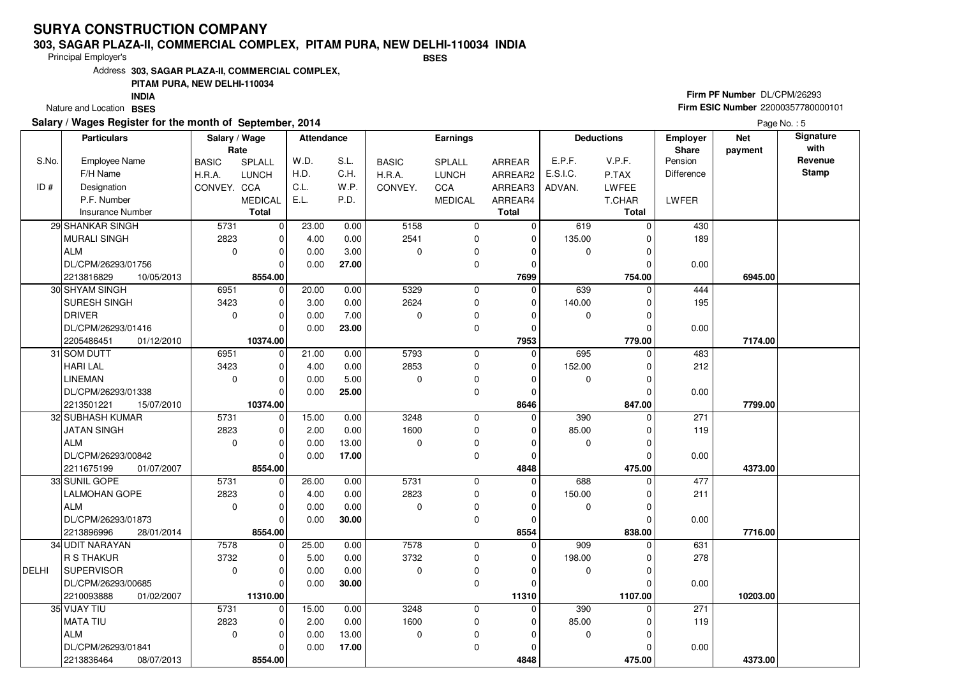#### **303, SAGAR PLAZA-II, COMMERCIAL COMPLEX, PITAM PURA, NEW DELHI-110034 INDIABSES**

Principal Employer's

Address**303, SAGAR PLAZA-II, COMMERCIAL COMPLEX,**

### **PITAM PURA, NEW DELHI-110034**

Nature and Location BSES **INDIA**

### **Salary / Wages Register for the month of September, 2014**

## **Firm PF Number** DL/CPM/26293 **Firm ESIC Number** 22000357780000101

|              | <b>Particulars</b>       | Salary / Wage<br>Rate |                | <b>Attendance</b> |       |              | Earnings       |               | <b>Deductions</b> |              | <b>Employer</b><br>Share | <b>Net</b><br>payment | Signature<br>with |
|--------------|--------------------------|-----------------------|----------------|-------------------|-------|--------------|----------------|---------------|-------------------|--------------|--------------------------|-----------------------|-------------------|
| S.No.        | <b>Employee Name</b>     | <b>BASIC</b>          | SPLALL         | W.D.              | S.L.  | <b>BASIC</b> | SPLALL         | <b>ARREAR</b> | E.P.F.            | V.P.F.       | Pension                  |                       | Revenue           |
|              | F/H Name                 | H.R.A.                | <b>LUNCH</b>   | H.D.              | C.H.  | H.R.A.       | <b>LUNCH</b>   | ARREAR2       | E.S.I.C.          | P.TAX        | <b>Difference</b>        |                       | <b>Stamp</b>      |
| ID#          | Designation              | CONVEY. CCA           |                | C.L.              | W.P.  | CONVEY.      | CCA            | ARREAR3       | ADVAN.            | LWFEE        |                          |                       |                   |
|              | P.F. Number              |                       | <b>MEDICAL</b> | E.L.              | P.D.  |              | <b>MEDICAL</b> | ARREAR4       |                   | T.CHAR       | LWFER                    |                       |                   |
|              | Insurance Number         |                       | <b>Total</b>   |                   |       |              |                | <b>Total</b>  |                   | <b>Total</b> |                          |                       |                   |
|              | 29 SHANKAR SINGH         | 5731                  | $\overline{0}$ | 23.00             | 0.00  | 5158         | $\mathbf 0$    | $\mathbf 0$   | 619               | $\Omega$     | 430                      |                       |                   |
|              | <b>MURALI SINGH</b>      | 2823                  | $\Omega$       | 4.00              | 0.00  | 2541         | $\mathbf 0$    | $\Omega$      | 135.00            | $\Omega$     | 189                      |                       |                   |
|              | <b>ALM</b>               | $\pmb{0}$             | 0              | 0.00              | 3.00  | $\mathbf 0$  | $\mathbf 0$    | $\Omega$      | 0                 | $\Omega$     |                          |                       |                   |
|              | DL/CPM/26293/01756       |                       | $\Omega$       | 0.00              | 27.00 |              | $\mathbf 0$    | $\Omega$      |                   |              | 0.00                     |                       |                   |
|              | 2213816829<br>10/05/2013 |                       | 8554.00        |                   |       |              |                | 7699          |                   | 754.00       |                          | 6945.00               |                   |
|              | 30 SHYAM SINGH           | 6951                  | $\overline{0}$ | 20.00             | 0.00  | 5329         | 0              | 0             | 639               | 0            | 444                      |                       |                   |
|              | SURESH SINGH             | 3423                  | $\overline{0}$ | 3.00              | 0.00  | 2624         | $\mathbf 0$    | $\Omega$      | 140.00            | $\Omega$     | 195                      |                       |                   |
|              | <b>DRIVER</b>            | $\mathbf 0$           | $\Omega$       | 0.00              | 7.00  | $\mathbf 0$  | $\mathbf 0$    | $\Omega$      | $\mathbf{0}$      | $\Omega$     |                          |                       |                   |
|              | DL/CPM/26293/01416       |                       | $\Omega$       | 0.00              | 23.00 |              | $\mathbf 0$    | $\Omega$      |                   | $\Omega$     | 0.00                     |                       |                   |
|              | 2205486451<br>01/12/2010 |                       | 10374.00       |                   |       |              |                | 7953          |                   | 779.00       |                          | 7174.00               |                   |
|              | 31 SOM DUTT              | 6951                  | $\Omega$       | 21.00             | 0.00  | 5793         | $\mathbf 0$    | $\Omega$      | 695               | O            | 483                      |                       |                   |
|              | <b>HARI LAL</b>          | 3423                  | $\overline{0}$ | 4.00              | 0.00  | 2853         | $\mathbf 0$    | 0             | 152.00            | 0            | 212                      |                       |                   |
|              | <b>LINEMAN</b>           | $\mathbf 0$           | $\Omega$       | 0.00              | 5.00  | $\mathbf 0$  | $\mathbf 0$    | $\Omega$      | $\mathbf{0}$      | $\Omega$     |                          |                       |                   |
|              | DL/CPM/26293/01338       |                       | $\Omega$       | 0.00              | 25.00 |              | $\mathbf 0$    | $\Omega$      |                   |              | 0.00                     |                       |                   |
|              | 2213501221<br>15/07/2010 |                       | 10374.00       |                   |       |              |                | 8646          |                   | 847.00       |                          | 7799.00               |                   |
|              | 32 SUBHASH KUMAR         | 5731                  | 0              | 15.00             | 0.00  | 3248         | $\mathbf 0$    | $\Omega$      | 390               | $\Omega$     | 271                      |                       |                   |
|              | <b>JATAN SINGH</b>       | 2823                  | $\Omega$       | 2.00              | 0.00  | 1600         | $\mathbf 0$    | $\Omega$      | 85.00             | $\Omega$     | 119                      |                       |                   |
|              | <b>ALM</b>               | $\mathbf 0$           | $\Omega$       | 0.00              | 13.00 | $\mathbf 0$  | $\mathbf 0$    | $\Omega$      | 0                 | $\Omega$     |                          |                       |                   |
|              | DL/CPM/26293/00842       |                       | $\Omega$       | 0.00              | 17.00 |              | $\mathbf 0$    | $\Omega$      |                   | $\Omega$     | 0.00                     |                       |                   |
|              | 2211675199<br>01/07/2007 |                       | 8554.00        |                   |       |              |                | 4848          |                   | 475.00       |                          | 4373.00               |                   |
|              | 33 SUNIL GOPE            | 5731                  | 0              | 26.00             | 0.00  | 5731         | $\mathbf 0$    | $\mathbf 0$   | 688               | 0            | 477                      |                       |                   |
|              | <b>LALMOHAN GOPE</b>     | 2823                  | $\Omega$       | 4.00              | 0.00  | 2823         | $\mathbf 0$    | $\Omega$      | 150.00            | $\Omega$     | 211                      |                       |                   |
|              | <b>ALM</b>               | $\mathbf 0$           | $\Omega$       | 0.00              | 0.00  | $\mathbf 0$  | $\mathbf 0$    | $\Omega$      | 0                 | $\Omega$     |                          |                       |                   |
|              | DL/CPM/26293/01873       |                       | $\Omega$       | 0.00              | 30.00 |              | $\mathbf 0$    | $\Omega$      |                   |              | 0.00                     |                       |                   |
|              | 2213896996<br>28/01/2014 |                       | 8554.00        |                   |       |              |                | 8554          |                   | 838.00       |                          | 7716.00               |                   |
|              | 34 UDIT NARAYAN          | 7578                  | $\overline{0}$ | 25.00             | 0.00  | 7578         | $\mathbf 0$    | $\Omega$      | 909               | $\Omega$     | 631                      |                       |                   |
|              | R S THAKUR               | 3732                  | 0              | 5.00              | 0.00  | 3732         | $\mathbf 0$    | $\Omega$      | 198.00            | $\Omega$     | 278                      |                       |                   |
| <b>DELHI</b> | SUPERVISOR               | $\pmb{0}$             | $\Omega$       | 0.00              | 0.00  | $\mathbf 0$  | $\mathbf 0$    | $\Omega$      | $\mathbf 0$       | $\Omega$     |                          |                       |                   |
|              | DL/CPM/26293/00685       |                       | $\Omega$       | 0.00              | 30.00 |              | $\Omega$       |               |                   |              | 0.00                     |                       |                   |
|              | 2210093888<br>01/02/2007 |                       | 11310.00       |                   |       |              |                | 11310         |                   | 1107.00      |                          | 10203.00              |                   |
|              | 35 VIJAY TIU             | 5731                  | $\overline{0}$ | 15.00             | 0.00  | 3248         | $\mathbf 0$    | $\mathbf 0$   | 390               | $\Omega$     | $\overline{271}$         |                       |                   |
|              | MATA TIU                 | 2823                  | $\Omega$       | 2.00              | 0.00  | 1600         | $\mathbf 0$    | $\Omega$      | 85.00             | O            | 119                      |                       |                   |
|              | <b>ALM</b>               | 0                     | $\Omega$       | 0.00              | 13.00 | $\mathbf 0$  | 0              | $\Omega$      | $\mathbf 0$       |              |                          |                       |                   |
|              | DL/CPM/26293/01841       |                       | $\Omega$       | 0.00              | 17.00 |              | $\Omega$       |               |                   |              | 0.00                     |                       |                   |
|              | 2213836464<br>08/07/2013 |                       | 8554.00        |                   |       |              |                | 4848          |                   | 475.00       |                          | 4373.00               |                   |